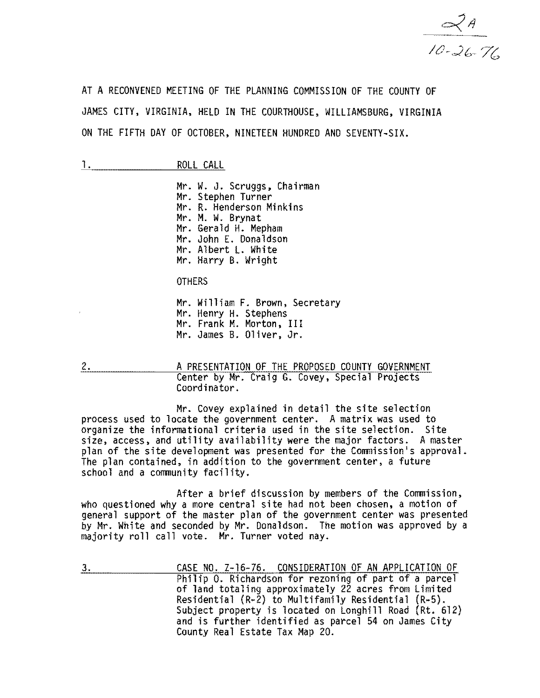

AT A RECONVENED MEETING OF THE PLANNING COMMISSION OF THE COUNTY OF JAMES CITY, VIRGINIA, HELD IN THE COURTHOUSE, WILLIAMSBURG. VIRGINIA ON THE FIFTH DAY OF OCTOBER. NINETEEN HUNDRED AND SEVENTY-SIX.

|               | I | л<br>-<br>. L.                       |
|---------------|---|--------------------------------------|
| ------------- |   | ------------------------------------ |

Mr. W. J. Scruggs. Chairman Mr. Stephen Turner Mr. R. Henderson Minkins<br>Mr. M. W. Brvnat Mr. Gerald H. Mepham Mr. John E. Donaldson Mr. Albert L. White Mr. Harry B. Wright

**OTHERS** 

Mr. William F. Brown, Secretary<br>Mr. Henry H. Stephens<br>Mr. Frank M. Morton, III Mr. James B. Oliver, Jr.

2. A PRESENTATION OF THE PROPOSED COUNTY GOVERNMENT Center by Mr. Craig G. Covey, Special Projects Coordinator.

Mr. Covey explained in detail the site selection process used to locate the government center. A matrix was used to organize the informational criteria used in the site selection. Site size, access, and utility availability were the major factors. A master plan of the site development was presented for the Commission's approval. The plan contained, in addition to the government center, a future school and a community facility.

After a brief discussion by members of the Commission, who questioned why a more central site had not been chosen, a motion of general support of the master plan of the government center was presented by Mr. White and seconded by Mr. Donaldson. The motion was approved by a majority roll call vote. Mr. Turner voted nay.

3. CASE NO. Z-16-76. CONSIDERATION OF AN APPLICATION OF Philip 0. Richardson for rezoning of part of a parcel of land totaling approximately 22 acres from Limited Residential (R-2) to Multifamily Residential (R-5). Subject property is located on Longhill Road (Rt. 612) and is further identified as parcel 54 on James City County Real Estate Tax Map 20.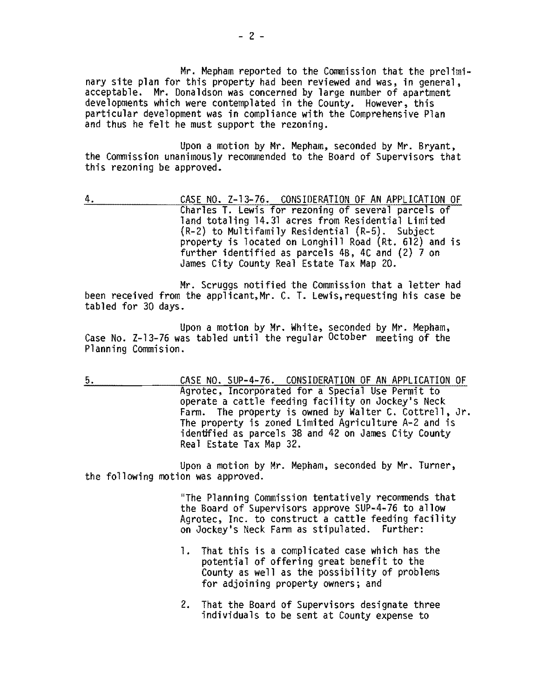Mr. Mepham reported to the Commission that the prelimi-<br>nary site plan for this property had been reviewed and was, in general, acceptable. Mr. Donaldson was concerned by large number of apartment developments which were contemplated in the County. However, this particular development was in compliance with the Comprehensive Plan and thus he felt he must support the rezoning.

Upon a motion by Mr. Mepham, seconded by Mr. Bryant,<br>the Commission unanimously recommended to the Board of Supervisors that this rezoning be approved.

4. CASE NO. Z-13-76. CONSIDERATION OF AN APPLICATION OF Charles T. Lewis for rezoning of several parcels of land totaling 14.31 acres from Residential Limited {R-2} to Multifamily Residential (R-5). Subject property is located on Longhi1l Road (Rt. 612) and is further identified as parcels 4B, 4C and (2) 7 on James City County Real Estate Tax Map 20.

Mr. Scruggs notified the Commission that a letter had been received from the applicant,Mr. C. T. Lewis,requesting his case be tabled for 30 days.

Upon a motion by Mr. White, seconded by Mr. Mepham, Case No. Z-13-76 was tabled until the regular October meeting of the Planning Commision.

5. CASE NO. SUP-4-76. CONSIDERATION OF AN APPLICATION OF Agrotec, Incorporated for a Special Use Permit to operate a cattle feeding facility on Jockey's Neck Farm. The property is owned by Walter C. Cottrell, Jr. The property is zoned Limited Agriculture A-2 and is identified as parcels 38 and 42 on James City County Real Estate Tax Map 32.

Upon a motion by Mr. Mepham, seconded by Mr. Turner, the following motion was approved.

> "The Planning Commission tentatively recommends that the Board of Supervisors approve SUP-4-76 to allow Agrotec, Inc. to construct a cattle feeding facility on Jockey's Neck Farm as stipulated. Further:

- 1. That this is a complicated case which has the potential of offering great benefit to the County as well as the possibility of problems for adjoining property owners; and
- 2. That the Board of Supervisors designate three individuals to be sent at County expense to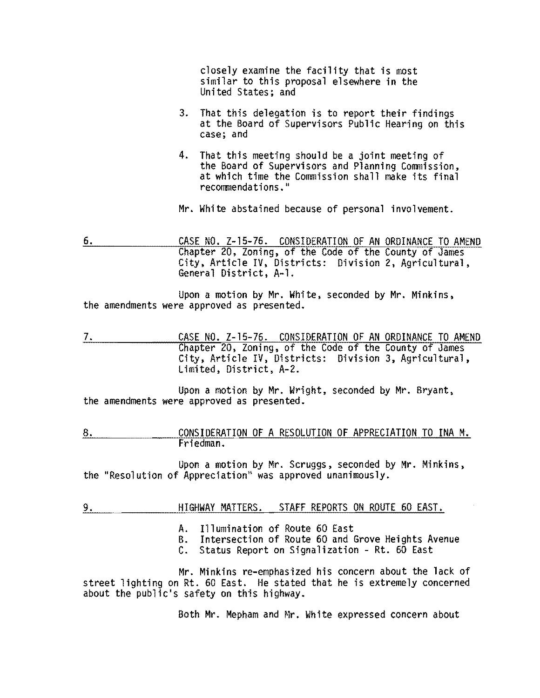closely examine the facility that is most similar to this proposal elsewhere in the United States; and

- 3. That this delegation is to report their findings at the Board of Supervisors Public Hearing on this case; and
- 4. That this meeting should be a joint meeting of the Board of Supervisors and Planning Commission, at which time the Commission shall make its final recommendations."

Mr. White abstained because of personal involvement.

6. CASE NO. Z-15-76. CONSIDERATION OF AN ORDINANCE TO AMEND Chapter 20, Zoning, of the Code of the County of James City, Article IV, Districts: Division 2, Agricultural, General District, A-l.

Upon a motion by Mr. White, seconded by Mr. Minkins, the amendments were approved as presented.

7. CASE NO. Z-15-76. CONSIDERATION OF AN ORDINANCE TO AMEND Chapter 20, Zoning, of the Code of the County of James City, Article IV, Districts: Division 3, Agricultural, Limited, District, A-2.

Upon a motion by Mr. Wright, seconded by Mr. Bryant, the amendments were approved as presented.

8. CONSIDERATION OF A RESOLUTION OF APPRECIATION TO INA M. Friedman.

Upon a motion by Mr. Scruggs, seconded by Mr. Minkins, the "Resolution of Appreciation" was approved unanimously.

- 9. HIGHWAY MATTERS. STAFF REPORTS ON ROUTE 60 EAST.
	- A. Illumination of Route 60 East
	- B. Intersection of Route 60 and Grove Heights Avenue
	- C. Status Report on Signalization Rt. 60 East

Mr. Minkins re-emphasized his concern about the lack of street lighting on Rt. 60 East. He stated that he is extremely concerned about the public's safety on this highway.

Both Mr. Mepham and Mr. White expressed concern about